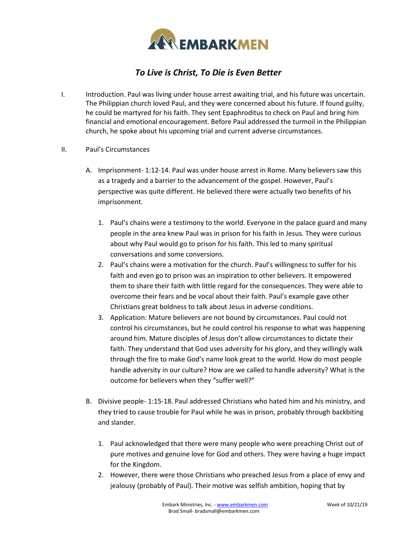

## *To Live is Christ, To Die is Even Better*

- I. Introduction. Paul was living under house arrest awaiting trial, and his future was uncertain. The Philippian church loved Paul, and they were concerned about his future. If found guilty, he could be martyred for his faith. They sent Epaphroditus to check on Paul and bring him financial and emotional encouragement. Before Paul addressed the turmoil in the Philippian church, he spoke about his upcoming trial and current adverse circumstances.
- II. Paul's Circumstances
	- A. Imprisonment- 1:12-14. Paul was under house arrest in Rome. Many believers saw this as a tragedy and a barrier to the advancement of the gospel. However, Paul's perspective was quite different. He believed there were actually two benefits of his imprisonment.
		- 1. Paul's chains were a testimony to the world. Everyone in the palace guard and many people in the area knew Paul was in prison for his faith in Jesus. They were curious about why Paul would go to prison for his faith. This led to many spiritual conversations and some conversions.
		- 2. Paul's chains were a motivation for the church. Paul's willingness to suffer for his faith and even go to prison was an inspiration to other believers. It empowered them to share their faith with little regard for the consequences. They were able to overcome their fears and be vocal about their faith. Paul's example gave other Christians great boldness to talk about Jesus in adverse conditions.
		- 3. Application: Mature believers are not bound by circumstances. Paul could not control his circumstances, but he could control his response to what was happening around him. Mature disciples of Jesus don't allow circumstances to dictate their faith. They understand that God uses adversity for his glory, and they willingly walk through the fire to make God's name look great to the world. How do most people handle adversity in our culture? How are we called to handle adversity? What is the outcome for believers when they "suffer well?"
	- B. Divisive people- 1:15-18. Paul addressed Christians who hated him and his ministry, and they tried to cause trouble for Paul while he was in prison, probably through backbiting and slander.
		- 1. Paul acknowledged that there were many people who were preaching Christ out of pure motives and genuine love for God and others. They were having a huge impact for the Kingdom.
		- 2. However, there were those Christians who preached Jesus from a place of envy and jealousy (probably of Paul). Their motive was selfish ambition, hoping that by